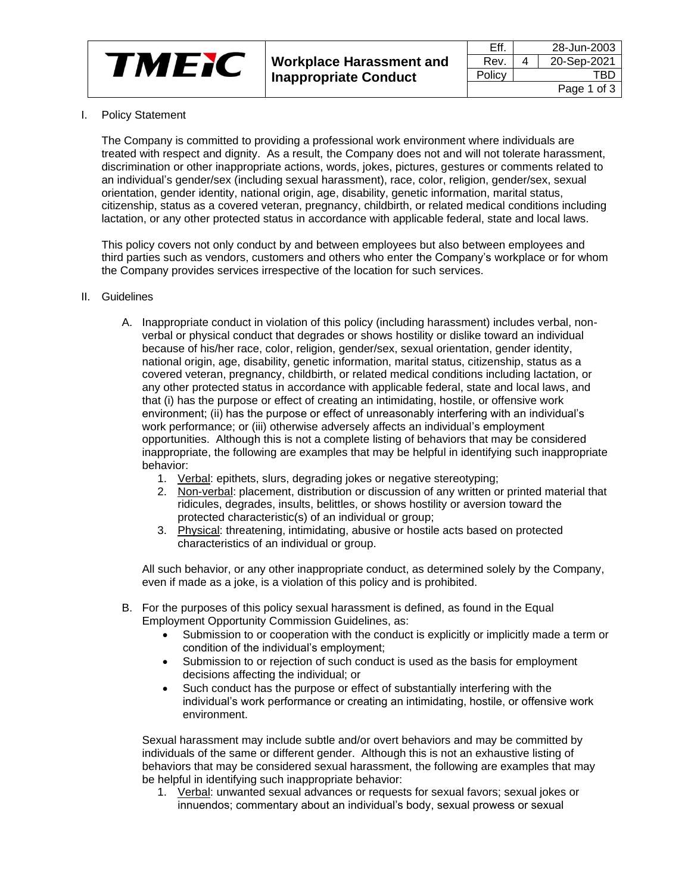

I. Policy Statement

The Company is committed to providing a professional work environment where individuals are treated with respect and dignity. As a result, the Company does not and will not tolerate harassment, discrimination or other inappropriate actions, words, jokes, pictures, gestures or comments related to an individual's gender/sex (including sexual harassment), race, color, religion, gender/sex, sexual orientation, gender identity, national origin, age, disability, genetic information, marital status, citizenship, status as a covered veteran, pregnancy, childbirth, or related medical conditions including lactation, or any other protected status in accordance with applicable federal, state and local laws.

This policy covers not only conduct by and between employees but also between employees and third parties such as vendors, customers and others who enter the Company's workplace or for whom the Company provides services irrespective of the location for such services.

- II. Guidelines
	- A. Inappropriate conduct in violation of this policy (including harassment) includes verbal, nonverbal or physical conduct that degrades or shows hostility or dislike toward an individual because of his/her race, color, religion, gender/sex, sexual orientation, gender identity, national origin, age, disability, genetic information, marital status, citizenship, status as a covered veteran, pregnancy, childbirth, or related medical conditions including lactation, or any other protected status in accordance with applicable federal, state and local laws, and that (i) has the purpose or effect of creating an intimidating, hostile, or offensive work environment; (ii) has the purpose or effect of unreasonably interfering with an individual's work performance; or (iii) otherwise adversely affects an individual's employment opportunities. Although this is not a complete listing of behaviors that may be considered inappropriate, the following are examples that may be helpful in identifying such inappropriate behavior:
		- 1. Verbal: epithets, slurs, degrading jokes or negative stereotyping;
		- 2. Non-verbal: placement, distribution or discussion of any written or printed material that ridicules, degrades, insults, belittles, or shows hostility or aversion toward the protected characteristic(s) of an individual or group;
		- 3. Physical: threatening, intimidating, abusive or hostile acts based on protected characteristics of an individual or group.

All such behavior, or any other inappropriate conduct, as determined solely by the Company, even if made as a joke, is a violation of this policy and is prohibited.

- B. For the purposes of this policy sexual harassment is defined, as found in the Equal Employment Opportunity Commission Guidelines, as:
	- Submission to or cooperation with the conduct is explicitly or implicitly made a term or condition of the individual's employment;
	- Submission to or rejection of such conduct is used as the basis for employment decisions affecting the individual; or
	- Such conduct has the purpose or effect of substantially interfering with the individual's work performance or creating an intimidating, hostile, or offensive work environment.

Sexual harassment may include subtle and/or overt behaviors and may be committed by individuals of the same or different gender. Although this is not an exhaustive listing of behaviors that may be considered sexual harassment, the following are examples that may be helpful in identifying such inappropriate behavior:

1. Verbal: unwanted sexual advances or requests for sexual favors; sexual jokes or innuendos; commentary about an individual's body, sexual prowess or sexual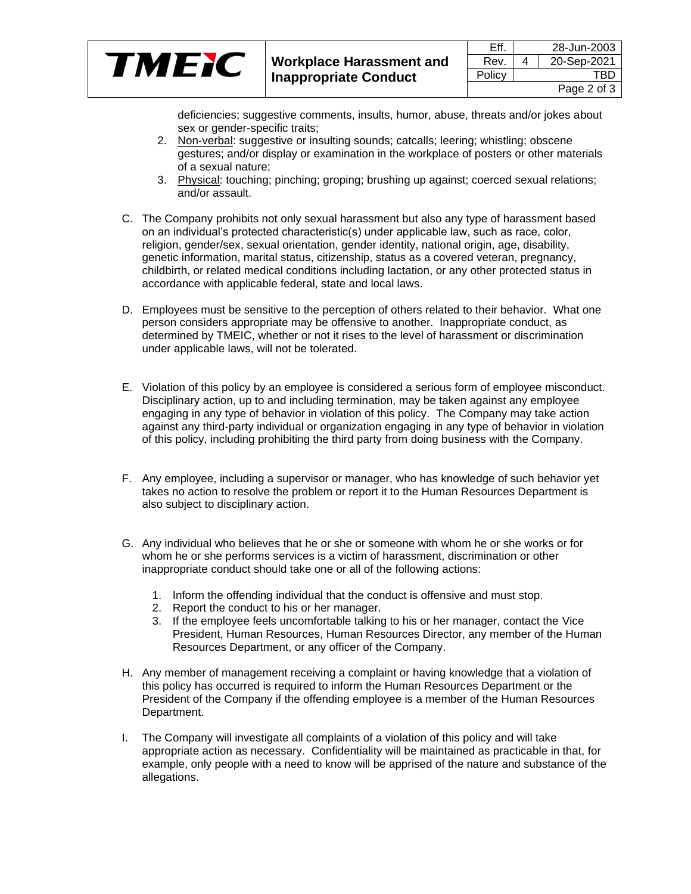|       |                                 | Eff    | 28-Jun-2003 |
|-------|---------------------------------|--------|-------------|
| TM 31 | <b>Workplace Harassment and</b> | Rev.   | 20-Sep-2021 |
|       | Inappropriate Conduct           | Policy | TBD         |
|       |                                 |        | Page 2 of 3 |

deficiencies; suggestive comments, insults, humor, abuse, threats and/or jokes about sex or gender-specific traits;

- 2. Non-verbal: suggestive or insulting sounds; catcalls; leering; whistling; obscene gestures; and/or display or examination in the workplace of posters or other materials of a sexual nature;
- 3. Physical: touching; pinching; groping; brushing up against; coerced sexual relations; and/or assault.
- C. The Company prohibits not only sexual harassment but also any type of harassment based on an individual's protected characteristic(s) under applicable law, such as race, color, religion, gender/sex, sexual orientation, gender identity, national origin, age, disability, genetic information, marital status, citizenship, status as a covered veteran, pregnancy, childbirth, or related medical conditions including lactation, or any other protected status in accordance with applicable federal, state and local laws.
- D. Employees must be sensitive to the perception of others related to their behavior. What one person considers appropriate may be offensive to another. Inappropriate conduct, as determined by TMEIC, whether or not it rises to the level of harassment or discrimination under applicable laws, will not be tolerated.
- E. Violation of this policy by an employee is considered a serious form of employee misconduct. Disciplinary action, up to and including termination, may be taken against any employee engaging in any type of behavior in violation of this policy. The Company may take action against any third-party individual or organization engaging in any type of behavior in violation of this policy, including prohibiting the third party from doing business with the Company.
- F. Any employee, including a supervisor or manager, who has knowledge of such behavior yet takes no action to resolve the problem or report it to the Human Resources Department is also subject to disciplinary action.
- G. Any individual who believes that he or she or someone with whom he or she works or for whom he or she performs services is a victim of harassment, discrimination or other inappropriate conduct should take one or all of the following actions:
	- 1. Inform the offending individual that the conduct is offensive and must stop.
	- 2. Report the conduct to his or her manager.
	- 3. If the employee feels uncomfortable talking to his or her manager, contact the Vice President, Human Resources, Human Resources Director, any member of the Human Resources Department, or any officer of the Company.
- H. Any member of management receiving a complaint or having knowledge that a violation of this policy has occurred is required to inform the Human Resources Department or the President of the Company if the offending employee is a member of the Human Resources Department.
- I. The Company will investigate all complaints of a violation of this policy and will take appropriate action as necessary. Confidentiality will be maintained as practicable in that, for example, only people with a need to know will be apprised of the nature and substance of the allegations.